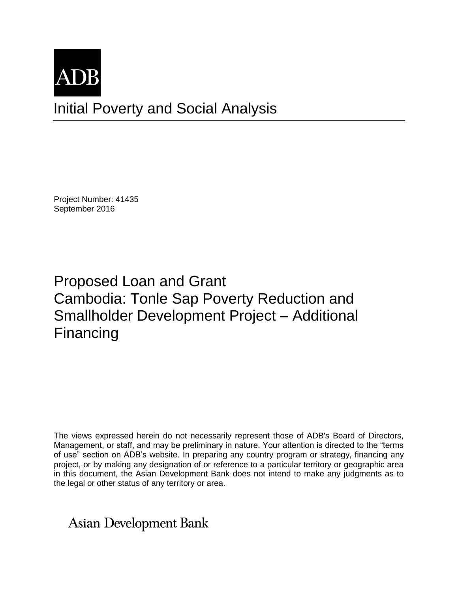

Project Number: 41435 September 2016

Proposed Loan and Grant Cambodia: Tonle Sap Poverty Reduction and Smallholder Development Project – Additional Financing

The views expressed herein do not necessarily represent those of ADB's Board of Directors, Management, or staff, and may be preliminary in nature. Your attention is directed to the "terms of use" section on ADB's website. In preparing any country program or strategy, financing any project, or by making any designation of or reference to a particular territory or geographic area in this document, the Asian Development Bank does not intend to make any judgments as to the legal or other status of any territory or area.

Asian Development Bank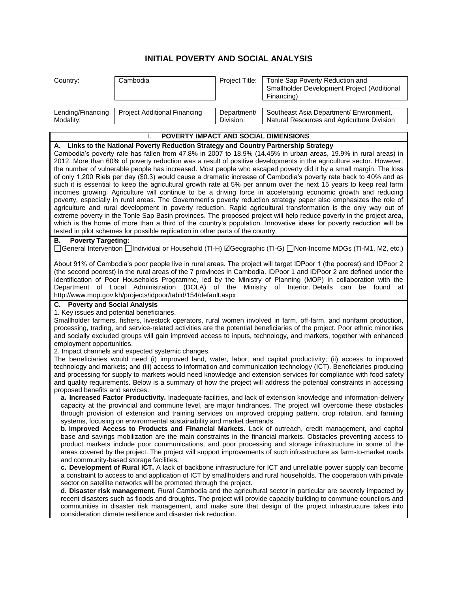## **INITIAL POVERTY AND SOCIAL ANALYSIS**

| Country:                                                                                                                                                                                                                                                                                                                                                                                                                                                                                                                                                                                                                                                                                                                                                                                                                                                                                                                                                                                                                                                                                                                                                                                                                                                                                                                                                                                 | Cambodia                     | Project Title:           | Tonle Sap Poverty Reduction and<br>Smallholder Development Project (Additional<br>Financing) |
|------------------------------------------------------------------------------------------------------------------------------------------------------------------------------------------------------------------------------------------------------------------------------------------------------------------------------------------------------------------------------------------------------------------------------------------------------------------------------------------------------------------------------------------------------------------------------------------------------------------------------------------------------------------------------------------------------------------------------------------------------------------------------------------------------------------------------------------------------------------------------------------------------------------------------------------------------------------------------------------------------------------------------------------------------------------------------------------------------------------------------------------------------------------------------------------------------------------------------------------------------------------------------------------------------------------------------------------------------------------------------------------|------------------------------|--------------------------|----------------------------------------------------------------------------------------------|
| Lending/Financing<br>Modality:                                                                                                                                                                                                                                                                                                                                                                                                                                                                                                                                                                                                                                                                                                                                                                                                                                                                                                                                                                                                                                                                                                                                                                                                                                                                                                                                                           | Project Additional Financing | Department/<br>Division: | Southeast Asia Department/ Environment,<br>Natural Resources and Agriculture Division        |
| POVERTY IMPACT AND SOCIAL DIMENSIONS<br>I.                                                                                                                                                                                                                                                                                                                                                                                                                                                                                                                                                                                                                                                                                                                                                                                                                                                                                                                                                                                                                                                                                                                                                                                                                                                                                                                                               |                              |                          |                                                                                              |
| A. Links to the National Poverty Reduction Strategy and Country Partnership Strategy<br>Cambodia's poverty rate has fallen from 47.8% in 2007 to 18.9% (14.45% in urban areas, 19.9% in rural areas) in<br>2012. More than 60% of poverty reduction was a result of positive developments in the agriculture sector. However,<br>the number of vulnerable people has increased. Most people who escaped poverty did it by a small margin. The loss<br>of only 1,200 Riels per day (\$0.3) would cause a dramatic increase of Cambodia's poverty rate back to 40% and as<br>such it is essential to keep the agricultural growth rate at 5% per annum over the next 15 years to keep real farm<br>incomes growing. Agriculture will continue to be a driving force in accelerating economic growth and reducing<br>poverty, especially in rural areas. The Government's poverty reduction strategy paper also emphasizes the role of<br>agriculture and rural development in poverty reduction. Rapid agricultural transformation is the only way out of<br>extreme poverty in the Tonle Sap Basin provinces. The proposed project will help reduce poverty in the project area,<br>which is the home of more than a third of the country's population. Innovative ideas for poverty reduction will be<br>tested in pilot schemes for possible replication in other parts of the country. |                              |                          |                                                                                              |
| <b>Poverty Targeting:</b><br>В.<br>□General Intervention □Individual or Household (TI-H) ⊠Geographic (TI-G) □Non-Income MDGs (TI-M1, M2, etc.)                                                                                                                                                                                                                                                                                                                                                                                                                                                                                                                                                                                                                                                                                                                                                                                                                                                                                                                                                                                                                                                                                                                                                                                                                                           |                              |                          |                                                                                              |
| About 91% of Cambodia's poor people live in rural areas. The project will target IDPoor 1 (the poorest) and IDPoor 2<br>(the second poorest) in the rural areas of the 7 provinces in Cambodia. IDPoor 1 and IDPoor 2 are defined under the<br>Identification of Poor Households Programme, led by the Ministry of Planning (MOP) in collaboration with the<br>Department of Local Administration (DOLA) of the<br>Ministry of Interior. Details<br>be found<br>can<br>at<br>http://www.mop.gov.kh/projects/idpoor/tabid/154/default.aspx                                                                                                                                                                                                                                                                                                                                                                                                                                                                                                                                                                                                                                                                                                                                                                                                                                                |                              |                          |                                                                                              |
| C. Poverty and Social Analysis                                                                                                                                                                                                                                                                                                                                                                                                                                                                                                                                                                                                                                                                                                                                                                                                                                                                                                                                                                                                                                                                                                                                                                                                                                                                                                                                                           |                              |                          |                                                                                              |
| 1. Key issues and potential beneficiaries.<br>Smallholder farmers, fishers, livestock operators, rural women involved in farm, off-farm, and nonfarm production,<br>processing, trading, and service-related activities are the potential beneficiaries of the project. Poor ethnic minorities<br>and socially excluded groups will gain improved access to inputs, technology, and markets, together with enhanced<br>employment opportunities.                                                                                                                                                                                                                                                                                                                                                                                                                                                                                                                                                                                                                                                                                                                                                                                                                                                                                                                                         |                              |                          |                                                                                              |
| 2. Impact channels and expected systemic changes.<br>The beneficiaries would need (i) improved land, water, labor, and capital productivity; (ii) access to improved<br>technology and markets; and (iii) access to information and communication technology (ICT). Beneficiaries producing<br>and processing for supply to markets would need knowledge and extension services for compliance with food safety<br>and quality requirements. Below is a summary of how the project will address the potential constraints in accessing<br>proposed benefits and services.                                                                                                                                                                                                                                                                                                                                                                                                                                                                                                                                                                                                                                                                                                                                                                                                                |                              |                          |                                                                                              |
| a. Increased Factor Productivity. Inadequate facilities, and lack of extension knowledge and information-delivery<br>capacity at the provincial and commune level, are major hindrances. The project will overcome these obstacles<br>through provision of extension and training services on improved cropping pattern, crop rotation, and farming<br>systems, focusing on environmental sustainability and market demands.<br>b. Improved Access to Products and Financial Markets. Lack of outreach, credit management, and capital<br>base and savings mobilization are the main constraints in the financial markets. Obstacles preventing access to<br>product markets include poor communications, and poor processing and storage infrastructure in some of the<br>areas covered by the project. The project will support improvements of such infrastructure as farm-to-market roads<br>and community-based storage facilities.<br>c. Development of Rural ICT. A lack of backbone infrastructure for ICT and unreliable power supply can become                                                                                                                                                                                                                                                                                                                                |                              |                          |                                                                                              |
| a constraint to access to and application of ICT by smallholders and rural households. The cooperation with private<br>sector on satellite networks will be promoted through the project.<br>d. Disaster risk management. Rural Cambodia and the agricultural sector in particular are severely impacted by<br>recent disasters such as floods and droughts. The project will provide capacity building to commune councilors and<br>communities in disaster risk management, and make sure that design of the project infrastructure takes into                                                                                                                                                                                                                                                                                                                                                                                                                                                                                                                                                                                                                                                                                                                                                                                                                                         |                              |                          |                                                                                              |

consideration climate resilience and disaster risk reduction.